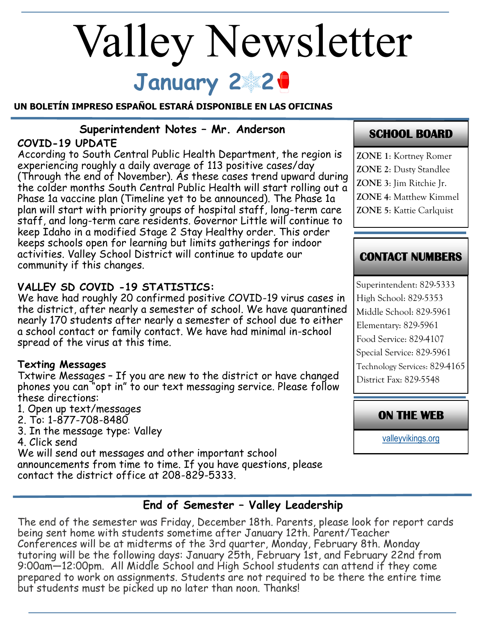# **January 2 2** Valley Newsletter

#### **UN BOLETÍN IMPRESO ESPAÑOL ESTARÁ DISPONIBLE EN LAS OFICINAS**

# **Superintendent Notes – Mr. Anderson**

## **COVID-19 UPDATE**

According to South Central Public Health Department, the region is experiencing roughly a daily average of 113 positive cases/day (Through the end of November). As these cases trend upward during the colder months South Central Public Health will start rolling out a Phase 1a vaccine plan (Timeline yet to be announced). The Phase 1a plan will start with priority groups of hospital staff, long-term care staff, and long-term care residents. Governor Little will continue to keep Idaho in a modified Stage 2 Stay Healthy order. This order keeps schools open for learning but limits gatherings for indoor activities. Valley School District will continue to update our community if this changes.

## **VALLEY SD COVID -19 STATISTICS:**

We have had roughly 20 confirmed positive COVID-19 virus cases in the district, after nearly a semester of school. We have quarantined nearly 170 students after nearly a semester of school due to either a school contact or family contact. We have had minimal in-school spread of the virus at this time.

#### **Texting Messages**

Txtwire Messages – If you are new to the district or have changed phones you can "opt in" to our text messaging service. Please follow these directions:

- 1. Open up text/messages
- 2. To: 1-877-708-8480
- 3. In the message type: Valley
- 4. Click send

We will send out messages and other important school announcements from time to time. If you have questions, please contact the district office at 208-829-5333.

# **SCHOOL BOARD**

**ZONE 1**: Kortney Romer **ZONE 2**: Dusty Standlee **ZONE 3**: Jim Ritchie Jr. **ZONE 4**: Matthew Kimmel **ZONE 5**: Kattie Carlquist

## **CONTACT NUMBERS**

Superintendent: 829-5333 High School: 829-5353 Middle School: 829-5961 Elementary: 829-5961 Food Service: 829-4107 Special Service: 829-5961 Technology Services: 829-4165 District Fax: 829-5548

## **ON THE WEB**

[valleyvikings.org](http://www.valleyvikings.org/)

## **End of Semester – Valley Leadership**

The end of the semester was Friday, December 18th. Parents, please look for report cards being sent home with students sometime after January 12th. Parent/Teacher Conferences will be at midterms of the 3rd quarter, Monday, February 8th. Monday tutoring will be the following days: January 25th, February 1st, and February 22nd from 9:00am—12:00pm. All Middle School and High School students can attend if they come prepared to work on assignments. Students are not required to be there the entire time but students must be picked up no later than noon. Thanks!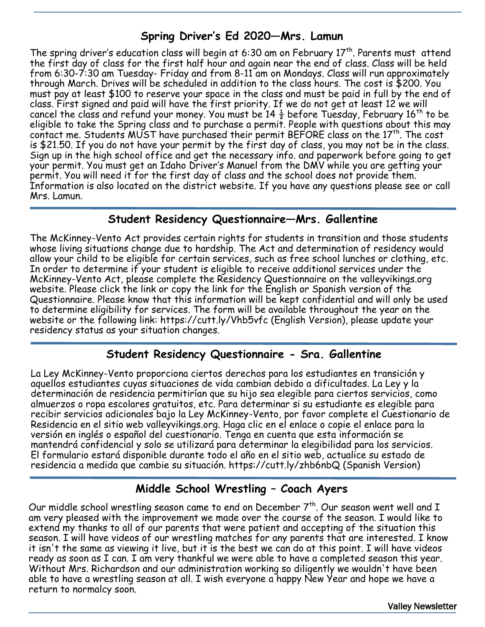# **Spring Driver's Ed 2020—Mrs. Lamun**

The spring driver's education class will begin at 6:30 am on February  $17<sup>th</sup>$ . Parents must attend the first day of class for the first half hour and again near the end of class. Class will be held from 6:30-7:30 am Tuesday- Friday and from 8-11 am on Mondays. Class will run approximately through March. Drives will be scheduled in addition to the class hours. The cost is \$200. You must pay at least \$100 to reserve your space in the class and must be paid in full by the end of class. First signed and paid will have the first priority. If we do not get at least 12 we will cancel the class and refund your money. You must be  $14\frac{1}{2}$  before Tuesday, February 16<sup>th</sup> to be eligible to take the Spring class and to purchase a permit. People with questions about this may contact me. Students MUST have purchased their permit BEFORE class on the 17<sup>th</sup>. The cost is \$21.50. If you do not have your permit by the first day of class, you may not be in the class. Sign up in the high school office and get the necessary info. and paperwork before going to get your permit. You must get an Idaho Driver's Manuel from the DMV while you are getting your permit. You will need it for the first day of class and the school does not provide them. Information is also located on the district website. If you have any questions please see or call Mrs. Lamun.

#### **Student Residency Questionnaire—Mrs. Gallentine**

The McKinney-Vento Act provides certain rights for students in transition and those students whose living situations change due to hardship. The Act and determination of residency would allow your child to be eligible for certain services, such as free school lunches or clothing, etc. In order to determine if your student is eligible to receive additional services under the McKinney-Vento Act, please complete the Residency Questionnaire on the valleyvikings.org website. Please click the link or copy the link for the English or Spanish version of the Questionnaire. Please know that this information will be kept confidential and will only be used to determine eligibility for services. The form will be available throughout the year on the website or the following link: https://cutt.ly/Vhb5vfc (English Version), please update your residency status as your situation changes.

#### **Student Residency Questionnaire - Sra. Gallentine**

La Ley McKinney-Vento proporciona ciertos derechos para los estudiantes en transición y aquellos estudiantes cuyas situaciones de vida cambian debido a dificultades. La Ley y la determinación de residencia permitirían que su hijo sea elegible para ciertos servicios, como almuerzos o ropa escolares gratuitos, etc. Para determinar si su estudiante es elegible para recibir servicios adicionales bajo la Ley McKinney-Vento, por favor complete el Cuestionario de Residencia en el sitio web valleyvikings.org. Haga clic en el enlace o copie el enlace para la versión en inglés o español del cuestionario. Tenga en cuenta que esta información se mantendrá confidencial y solo se utilizará para determinar la elegibilidad para los servicios. El formulario estará disponible durante todo el año en el sitio web, actualice su estado de residencia a medida que cambie su situación. https://cutt.ly/zhb6nbQ (Spanish Version)

## **Middle School Wrestling – Coach Ayers**

Our middle school wrestling season came to end on December  $7<sup>th</sup>$ . Our season went well and I am very pleased with the improvement we made over the course of the season. I would like to extend my thanks to all of our parents that were patient and accepting of the situation this season. I will have videos of our wrestling matches for any parents that are interested. I know it isn't the same as viewing it live, but it is the best we can do at this point. I will have videos ready as soon as I can. I am very thankful we were able to have a completed season this year. Without Mrs. Richardson and our administration working so diligently we wouldn't have been able to have a wrestling season at all. I wish everyone a happy New Year and hope we have a return to normalcy soon.